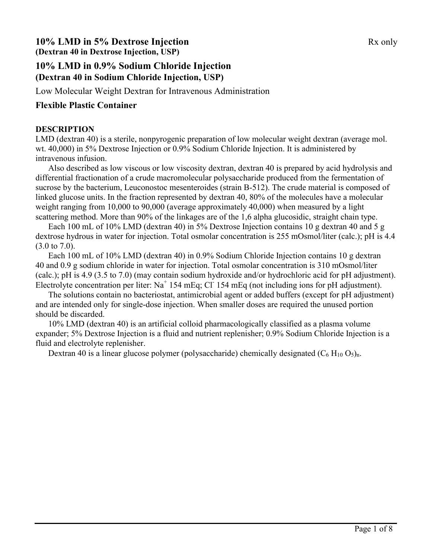# **10% LMD in 5% Dextrose Injection** Rx only **(Dextran 40 in Dextrose Injection, USP)**

# **10% LMD in 0.9% Sodium Chloride Injection (Dextran 40 in Sodium Chloride Injection, USP)**

Low Molecular Weight Dextran for Intravenous Administration

## **Flexible Plastic Container**

### **DESCRIPTION**

LMD (dextran 40) is a sterile, nonpyrogenic preparation of low molecular weight dextran (average mol. wt. 40,000) in 5% Dextrose Injection or 0.9% Sodium Chloride Injection. It is administered by intravenous infusion.

Also described as low viscous or low viscosity dextran, dextran 40 is prepared by acid hydrolysis and differential fractionation of a crude macromolecular polysaccharide produced from the fermentation of sucrose by the bacterium, Leuconostoc mesenteroides (strain B-512). The crude material is composed of linked glucose units. In the fraction represented by dextran 40, 80% of the molecules have a molecular weight ranging from 10,000 to 90,000 (average approximately 40,000) when measured by a light scattering method. More than 90% of the linkages are of the 1,6 alpha glucosidic, straight chain type.

Each 100 mL of 10% LMD (dextran 40) in 5% Dextrose Injection contains 10 g dextran 40 and 5 g dextrose hydrous in water for injection. Total osmolar concentration is 255 mOsmol/liter (calc.); pH is 4.4 (3.0 to 7.0).

Each 100 mL of 10% LMD (dextran 40) in 0.9% Sodium Chloride Injection contains 10 g dextran 40 and 0.9 g sodium chloride in water for injection. Total osmolar concentration is 310 mOsmol/liter (calc.); pH is 4.9 (3.5 to 7.0) (may contain sodium hydroxide and/or hydrochloric acid for pH adjustment). Electrolyte concentration per liter:  $Na<sup>+</sup> 154 mEq$ ; Cl<sup>-</sup>154 mEq (not including ions for pH adjustment).

The solutions contain no bacteriostat, antimicrobial agent or added buffers (except for pH adjustment) and are intended only for single-dose injection. When smaller doses are required the unused portion should be discarded.

10% LMD (dextran 40) is an artificial colloid pharmacologically classified as a plasma volume expander; 5% Dextrose Injection is a fluid and nutrient replenisher; 0.9% Sodium Chloride Injection is a fluid and electrolyte replenisher.

Dextran 40 is a linear glucose polymer (polysaccharide) chemically designated  $(C_6 H_{10} O_5)_{n}$ .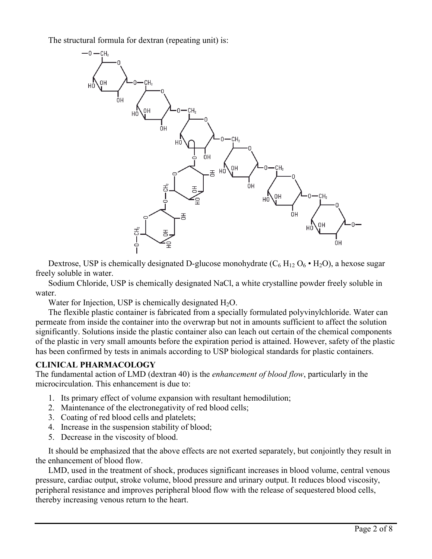The structural formula for dextran (repeating unit) is:



Dextrose, USP is chemically designated D-glucose monohydrate  $(C_6 H_{12} O_6 \cdot H_2 O_6)$ , a hexose sugar freely soluble in water.

Sodium Chloride, USP is chemically designated NaCl, a white crystalline powder freely soluble in water.

Water for Injection, USP is chemically designated  $H_2O$ .

The flexible plastic container is fabricated from a specially formulated polyvinylchloride. Water can permeate from inside the container into the overwrap but not in amounts sufficient to affect the solution significantly. Solutions inside the plastic container also can leach out certain of the chemical components of the plastic in very small amounts before the expiration period is attained. However, safety of the plastic has been confirmed by tests in animals according to USP biological standards for plastic containers.

### **CLINICAL PHARMACOLOGY**

The fundamental action of LMD (dextran 40) is the *enhancement of blood flow*, particularly in the microcirculation. This enhancement is due to:

- 1. Its primary effect of volume expansion with resultant hemodilution;
- 2. Maintenance of the electronegativity of red blood cells;
- 3. Coating of red blood cells and platelets;
- 4. Increase in the suspension stability of blood;
- 5. Decrease in the viscosity of blood.

It should be emphasized that the above effects are not exerted separately, but conjointly they result in the enhancement of blood flow.

LMD, used in the treatment of shock, produces significant increases in blood volume, central venous pressure, cardiac output, stroke volume, blood pressure and urinary output. It reduces blood viscosity, peripheral resistance and improves peripheral blood flow with the release of sequestered blood cells, thereby increasing venous return to the heart.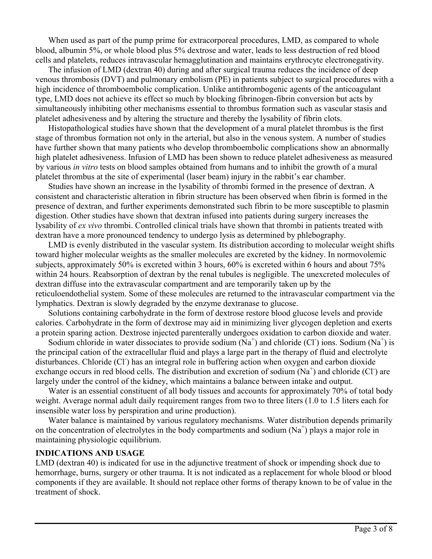When used as part of the pump prime for extracorporeal procedures, LMD, as compared to whole blood, albumin 5%, or whole blood plus 5% dextrose and water, leads to less destruction of red blood cells and platelets, reduces intravascular hemagglutination and maintains erythrocyte electronegativity.

The infusion of LMD (dextran 40) during and after surgical trauma reduces the incidence of deep venous thrombosis (DVT) and pulmonary embolism (PE) in patients subject to surgical procedures with a high incidence of thromboembolic complication. Unlike antithrombogenic agents of the anticoagulant type, LMD does not achieve its effect so much by blocking fibrinogen-fibrin conversion but acts by simultaneously inhibiting other mechanisms essential to thrombus formation such as vascular stasis and platelet adhesiveness and by altering the structure and thereby the lysability of fibrin clots.

Histopathological studies have shown that the development of a mural platelet thrombus is the first stage of thrombus formation not only in the arterial, but also in the venous system. A number of studies have further shown that many patients who develop thromboembolic complications show an abnormally high platelet adhesiveness. Infusion of LMD has been shown to reduce platelet adhesiveness as measured by various *in vitro* tests on blood samples obtained from humans and to inhibit the growth of a mural platelet thrombus at the site of experimental (laser beam) injury in the rabbit's ear chamber.

Studies have shown an increase in the lysability of thrombi formed in the presence of dextran. A consistent and characteristic alteration in fibrin structure has been observed when fibrin is formed in the presence of dextran, and further experiments demonstrated such fibrin to be more susceptible to plasmin digestion. Other studies have shown that dextran infused into patients during surgery increases the lysability of *ex vivo* thrombi. Controlled clinical trials have shown that thrombi in patients treated with dextran have a more pronounced tendency to undergo lysis as determined by phlebography.

LMD is evenly distributed in the vascular system. Its distribution according to molecular weight shifts toward higher molecular weights as the smaller molecules are excreted by the kidney. In normovolemic subjects, approximately 50% is excreted within 3 hours, 60% is excreted within 6 hours and about 75% within 24 hours. Reabsorption of dextran by the renal tubules is negligible. The unexcreted molecules of dextran diffuse into the extravascular compartment and are temporarily taken up by the reticuloendothelial system. Some of these molecules are returned to the intravascular compartment via the lymphatics. Dextran is slowly degraded by the enzyme dextranase to glucose.

Solutions containing carbohydrate in the form of dextrose restore blood glucose levels and provide calories. Carbohydrate in the form of dextrose may aid in minimizing liver glycogen depletion and exerts a protein sparing action. Dextrose injected parenterally undergoes oxidation to carbon dioxide and water.

Sodium chloride in water dissociates to provide sodium  $(Na^+)$  and chloride (Cl) ions. Sodium  $(Na^+)$  is the principal cation of the extracellular fluid and plays a large part in the therapy of fluid and electrolyte disturbances. Chloride (Cl) has an integral role in buffering action when oxygen and carbon dioxide exchange occurs in red blood cells. The distribution and excretion of sodium  $(Na^+)$  and chloride (Cl) are largely under the control of the kidney, which maintains a balance between intake and output.

Water is an essential constituent of all body tissues and accounts for approximately 70% of total body weight. Average normal adult daily requirement ranges from two to three liters (1.0 to 1.5 liters each for insensible water loss by perspiration and urine production).

Water balance is maintained by various regulatory mechanisms. Water distribution depends primarily on the concentration of electrolytes in the body compartments and sodium  $(Na^+)$  plays a major role in maintaining physiologic equilibrium.

#### **INDICATIONS AND USAGE**

LMD (dextran 40) is indicated for use in the adjunctive treatment of shock or impending shock due to hemorrhage, burns, surgery or other trauma. It is not indicated as a replacement for whole blood or blood components if they are available. It should not replace other forms of therapy known to be of value in the treatment of shock.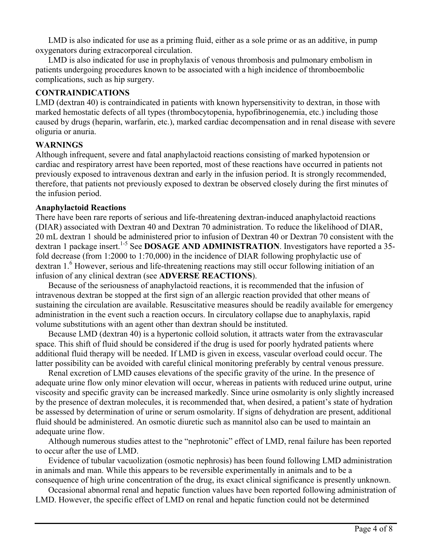LMD is also indicated for use as a priming fluid, either as a sole prime or as an additive, in pump oxygenators during extracorporeal circulation.

LMD is also indicated for use in prophylaxis of venous thrombosis and pulmonary embolism in patients undergoing procedures known to be associated with a high incidence of thromboembolic complications, such as hip surgery.

### **CONTRAINDICATIONS**

LMD (dextran 40) is contraindicated in patients with known hypersensitivity to dextran, in those with marked hemostatic defects of all types (thrombocytopenia, hypofibrinogenemia, etc.) including those caused by drugs (heparin, warfarin, etc.), marked cardiac decompensation and in renal disease with severe oliguria or anuria.

## **WARNINGS**

Although infrequent, severe and fatal anaphylactoid reactions consisting of marked hypotension or cardiac and respiratory arrest have been reported, most of these reactions have occurred in patients not previously exposed to intravenous dextran and early in the infusion period. It is strongly recommended, therefore, that patients not previously exposed to dextran be observed closely during the first minutes of the infusion period.

### **Anaphylactoid Reactions**

There have been rare reports of serious and life-threatening dextran-induced anaphylactoid reactions (DIAR) associated with Dextran 40 and Dextran 70 administration. To reduce the likelihood of DIAR, 20 mL dextran 1 should be administered prior to infusion of Dextran 40 or Dextran 70 consistent with the dextran 1 package insert.<sup>1-5</sup> See **DOSAGE AND ADMINISTRATION**. Investigators have reported a 35fold decrease (from 1:2000 to 1:70,000) in the incidence of DIAR following prophylactic use of dextran 1.<sup>6</sup> However, serious and life-threatening reactions may still occur following initiation of an infusion of any clinical dextran (see **ADVERSE REACTIONS**).

Because of the seriousness of anaphylactoid reactions, it is recommended that the infusion of intravenous dextran be stopped at the first sign of an allergic reaction provided that other means of sustaining the circulation are available. Resuscitative measures should be readily available for emergency administration in the event such a reaction occurs. In circulatory collapse due to anaphylaxis, rapid volume substitutions with an agent other than dextran should be instituted.

Because LMD (dextran 40) is a hypertonic colloid solution, it attracts water from the extravascular space. This shift of fluid should be considered if the drug is used for poorly hydrated patients where additional fluid therapy will be needed. If LMD is given in excess, vascular overload could occur. The latter possibility can be avoided with careful clinical monitoring preferably by central venous pressure.

Renal excretion of LMD causes elevations of the specific gravity of the urine. In the presence of adequate urine flow only minor elevation will occur, whereas in patients with reduced urine output, urine viscosity and specific gravity can be increased markedly. Since urine osmolarity is only slightly increased by the presence of dextran molecules, it is recommended that, when desired, a patient's state of hydration be assessed by determination of urine or serum osmolarity. If signs of dehydration are present, additional fluid should be administered. An osmotic diuretic such as mannitol also can be used to maintain an adequate urine flow.

Although numerous studies attest to the "nephrotonic" effect of LMD, renal failure has been reported to occur after the use of LMD.

Evidence of tubular vacuolization (osmotic nephrosis) has been found following LMD administration in animals and man. While this appears to be reversible experimentally in animals and to be a consequence of high urine concentration of the drug, its exact clinical significance is presently unknown.

Occasional abnormal renal and hepatic function values have been reported following administration of LMD. However, the specific effect of LMD on renal and hepatic function could not be determined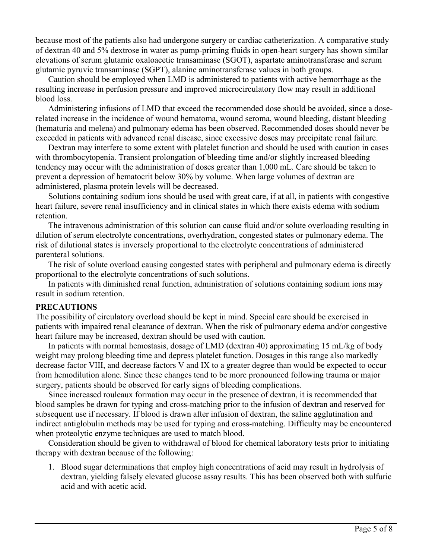because most of the patients also had undergone surgery or cardiac catheterization. A comparative study of dextran 40 and 5% dextrose in water as pump-priming fluids in open-heart surgery has shown similar elevations of serum glutamic oxaloacetic transaminase (SGOT), aspartate aminotransferase and serum glutamic pyruvic transaminase (SGPT), alanine aminotransferase values in both groups.

Caution should be employed when LMD is administered to patients with active hemorrhage as the resulting increase in perfusion pressure and improved microcirculatory flow may result in additional blood loss.

Administering infusions of LMD that exceed the recommended dose should be avoided, since a doserelated increase in the incidence of wound hematoma, wound seroma, wound bleeding, distant bleeding (hematuria and melena) and pulmonary edema has been observed. Recommended doses should never be exceeded in patients with advanced renal disease, since excessive doses may precipitate renal failure.

Dextran may interfere to some extent with platelet function and should be used with caution in cases with thrombocytopenia. Transient prolongation of bleeding time and/or slightly increased bleeding tendency may occur with the administration of doses greater than 1,000 mL. Care should be taken to prevent a depression of hematocrit below 30% by volume. When large volumes of dextran are administered, plasma protein levels will be decreased.

Solutions containing sodium ions should be used with great care, if at all, in patients with congestive heart failure, severe renal insufficiency and in clinical states in which there exists edema with sodium retention.

The intravenous administration of this solution can cause fluid and/or solute overloading resulting in dilution of serum electrolyte concentrations, overhydration, congested states or pulmonary edema. The risk of dilutional states is inversely proportional to the electrolyte concentrations of administered parenteral solutions.

The risk of solute overload causing congested states with peripheral and pulmonary edema is directly proportional to the electrolyte concentrations of such solutions.

In patients with diminished renal function, administration of solutions containing sodium ions may result in sodium retention.

#### **PRECAUTIONS**

The possibility of circulatory overload should be kept in mind. Special care should be exercised in patients with impaired renal clearance of dextran. When the risk of pulmonary edema and/or congestive heart failure may be increased, dextran should be used with caution.

In patients with normal hemostasis, dosage of LMD (dextran 40) approximating 15 mL/kg of body weight may prolong bleeding time and depress platelet function. Dosages in this range also markedly decrease factor VIII, and decrease factors V and IX to a greater degree than would be expected to occur from hemodilution alone. Since these changes tend to be more pronounced following trauma or major surgery, patients should be observed for early signs of bleeding complications.

Since increased rouleaux formation may occur in the presence of dextran, it is recommended that blood samples be drawn for typing and cross-matching prior to the infusion of dextran and reserved for subsequent use if necessary. If blood is drawn after infusion of dextran, the saline agglutination and indirect antiglobulin methods may be used for typing and cross-matching. Difficulty may be encountered when proteolytic enzyme techniques are used to match blood.

Consideration should be given to withdrawal of blood for chemical laboratory tests prior to initiating therapy with dextran because of the following:

1. Blood sugar determinations that employ high concentrations of acid may result in hydrolysis of dextran, yielding falsely elevated glucose assay results. This has been observed both with sulfuric acid and with acetic acid.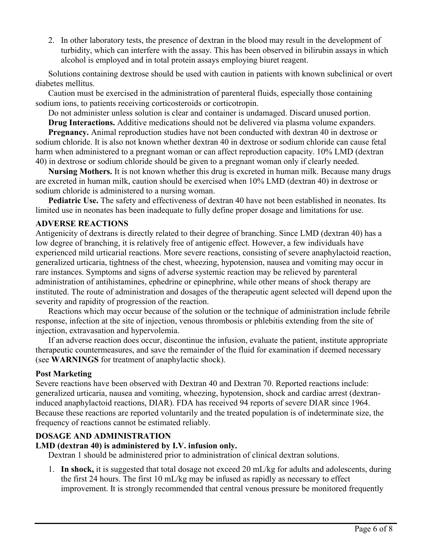2. In other laboratory tests, the presence of dextran in the blood may result in the development of turbidity, which can interfere with the assay. This has been observed in bilirubin assays in which alcohol is employed and in total protein assays employing biuret reagent.

Solutions containing dextrose should be used with caution in patients with known subclinical or overt diabetes mellitus.

Caution must be exercised in the administration of parenteral fluids, especially those containing sodium ions, to patients receiving corticosteroids or corticotropin.

Do not administer unless solution is clear and container is undamaged. Discard unused portion.

**Drug Interactions.** Additive medications should not be delivered via plasma volume expanders.

**Pregnancy.** Animal reproduction studies have not been conducted with dextran 40 in dextrose or sodium chloride. It is also not known whether dextran 40 in dextrose or sodium chloride can cause fetal harm when administered to a pregnant woman or can affect reproduction capacity. 10% LMD (dextran 40) in dextrose or sodium chloride should be given to a pregnant woman only if clearly needed.

**Nursing Mothers.** It is not known whether this drug is excreted in human milk. Because many drugs are excreted in human milk, caution should be exercised when 10% LMD (dextran 40) in dextrose or sodium chloride is administered to a nursing woman.

**Pediatric Use.** The safety and effectiveness of dextran 40 have not been established in neonates. Its limited use in neonates has been inadequate to fully define proper dosage and limitations for use.

#### **ADVERSE REACTIONS**

Antigenicity of dextrans is directly related to their degree of branching. Since LMD (dextran 40) has a low degree of branching, it is relatively free of antigenic effect. However, a few individuals have experienced mild urticarial reactions. More severe reactions, consisting of severe anaphylactoid reaction, generalized urticaria, tightness of the chest, wheezing, hypotension, nausea and vomiting may occur in rare instances. Symptoms and signs of adverse systemic reaction may be relieved by parenteral administration of antihistamines, ephedrine or epinephrine, while other means of shock therapy are instituted. The route of administration and dosages of the therapeutic agent selected will depend upon the severity and rapidity of progression of the reaction.

Reactions which may occur because of the solution or the technique of administration include febrile response, infection at the site of injection, venous thrombosis or phlebitis extending from the site of injection, extravasation and hypervolemia.

If an adverse reaction does occur, discontinue the infusion, evaluate the patient, institute appropriate therapeutic countermeasures, and save the remainder of the fluid for examination if deemed necessary (see **WARNINGS** for treatment of anaphylactic shock).

#### **Post Marketing**

Severe reactions have been observed with Dextran 40 and Dextran 70. Reported reactions include: generalized urticaria, nausea and vomiting, wheezing, hypotension, shock and cardiac arrest (dextraninduced anaphylactoid reactions, DIAR). FDA has received 94 reports of severe DIAR since 1964. Because these reactions are reported voluntarily and the treated population is of indeterminate size, the frequency of reactions cannot be estimated reliably.

### **DOSAGE AND ADMINISTRATION**

#### **LMD (dextran 40) is administered by I.V. infusion only.**

Dextran 1 should be administered prior to administration of clinical dextran solutions.

1. **In shock,** it is suggested that total dosage not exceed 20 mL/kg for adults and adolescents, during the first 24 hours. The first 10 mL/kg may be infused as rapidly as necessary to effect improvement. It is strongly recommended that central venous pressure be monitored frequently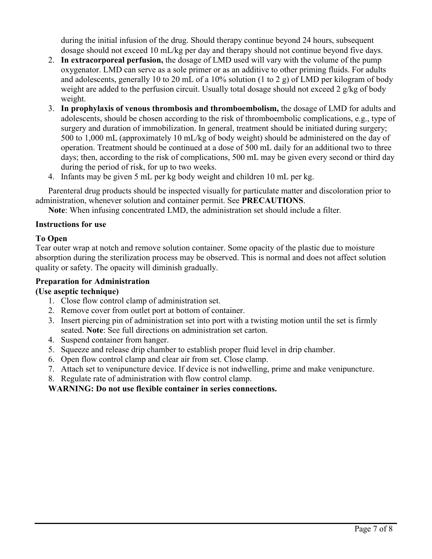during the initial infusion of the drug. Should therapy continue beyond 24 hours, subsequent dosage should not exceed 10 mL/kg per day and therapy should not continue beyond five days.

- 2. **In extracorporeal perfusion,** the dosage of LMD used will vary with the volume of the pump oxygenator. LMD can serve as a sole primer or as an additive to other priming fluids. For adults and adolescents, generally 10 to 20 mL of a 10% solution (1 to 2 g) of LMD per kilogram of body weight are added to the perfusion circuit. Usually total dosage should not exceed 2 g/kg of body weight.
- 3. **In prophylaxis of venous thrombosis and thromboembolism,** the dosage of LMD for adults and adolescents, should be chosen according to the risk of thromboembolic complications, e.g., type of surgery and duration of immobilization. In general, treatment should be initiated during surgery; 500 to 1,000 mL (approximately 10 mL/kg of body weight) should be administered on the day of operation. Treatment should be continued at a dose of 500 mL daily for an additional two to three days; then, according to the risk of complications, 500 mL may be given every second or third day during the period of risk, for up to two weeks.
- 4. Infants may be given 5 mL per kg body weight and children 10 mL per kg.

Parenteral drug products should be inspected visually for particulate matter and discoloration prior to administration, whenever solution and container permit. See **PRECAUTIONS**.

**Note**: When infusing concentrated LMD, the administration set should include a filter.

### **Instructions for use**

## **To Open**

Tear outer wrap at notch and remove solution container. Some opacity of the plastic due to moisture absorption during the sterilization process may be observed. This is normal and does not affect solution quality or safety. The opacity will diminish gradually.

### **Preparation for Administration**

### **(Use aseptic technique)**

- 1. Close flow control clamp of administration set.
- 2. Remove cover from outlet port at bottom of container.
- 3. Insert piercing pin of administration set into port with a twisting motion until the set is firmly seated. **Note**: See full directions on administration set carton.
- 4. Suspend container from hanger.
- 5. Squeeze and release drip chamber to establish proper fluid level in drip chamber.
- 6. Open flow control clamp and clear air from set. Close clamp.
- 7. Attach set to venipuncture device. If device is not indwelling, prime and make venipuncture.
- 8. Regulate rate of administration with flow control clamp.

# **WARNING: Do not use flexible container in series connections.**